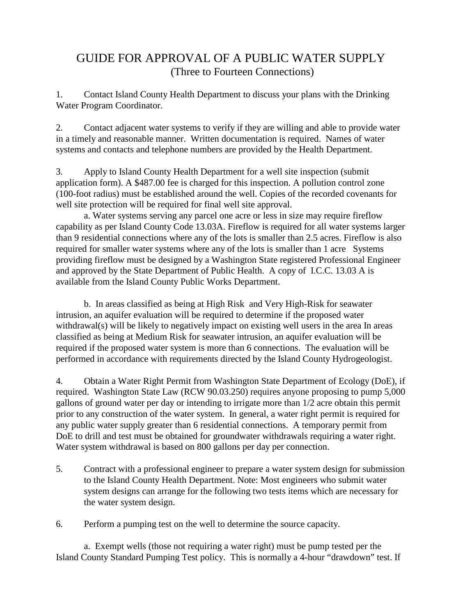## GUIDE FOR APPROVAL OF A PUBLIC WATER SUPPLY (Three to Fourteen Connections)

1. Contact Island County Health Department to discuss your plans with the Drinking Water Program Coordinator.

2. Contact adjacent water systems to verify if they are willing and able to provide water in a timely and reasonable manner. Written documentation is required. Names of water systems and contacts and telephone numbers are provided by the Health Department.

3. Apply to Island County Health Department for a well site inspection (submit application form). A \$487.00 fee is charged for this inspection. A pollution control zone (100-foot radius) must be established around the well. Copies of the recorded covenants for well site protection will be required for final well site approval.

a. Water systems serving any parcel one acre or less in size may require fireflow capability as per Island County Code 13.03A. Fireflow is required for all water systems larger than 9 residential connections where any of the lots is smaller than 2.5 acres. Fireflow is also required for smaller water systems where any of the lots is smaller than 1 acre Systems providing fireflow must be designed by a Washington State registered Professional Engineer and approved by the State Department of Public Health. A copy of I.C.C. 13.03 A is available from the Island County Public Works Department.

b. In areas classified as being at High Risk and Very High-Risk for seawater intrusion, an aquifer evaluation will be required to determine if the proposed water withdrawal(s) will be likely to negatively impact on existing well users in the area In areas classified as being at Medium Risk for seawater intrusion, an aquifer evaluation will be required if the proposed water system is more than 6 connections. The evaluation will be performed in accordance with requirements directed by the Island County Hydrogeologist.

4. Obtain a Water Right Permit from Washington State Department of Ecology (DoE), if required. Washington State Law (RCW 90.03.250) requires anyone proposing to pump 5,000 gallons of ground water per day or intending to irrigate more than 1/2 acre obtain this permit prior to any construction of the water system. In general, a water right permit is required for any public water supply greater than 6 residential connections. A temporary permit from DoE to drill and test must be obtained for groundwater withdrawals requiring a water right. Water system withdrawal is based on 800 gallons per day per connection.

5. Contract with a professional engineer to prepare a water system design for submission to the Island County Health Department. Note: Most engineers who submit water system designs can arrange for the following two tests items which are necessary for the water system design.

6. Perform a pumping test on the well to determine the source capacity.

a. Exempt wells (those not requiring a water right) must be pump tested per the Island County Standard Pumping Test policy. This is normally a 4-hour "drawdown" test. If